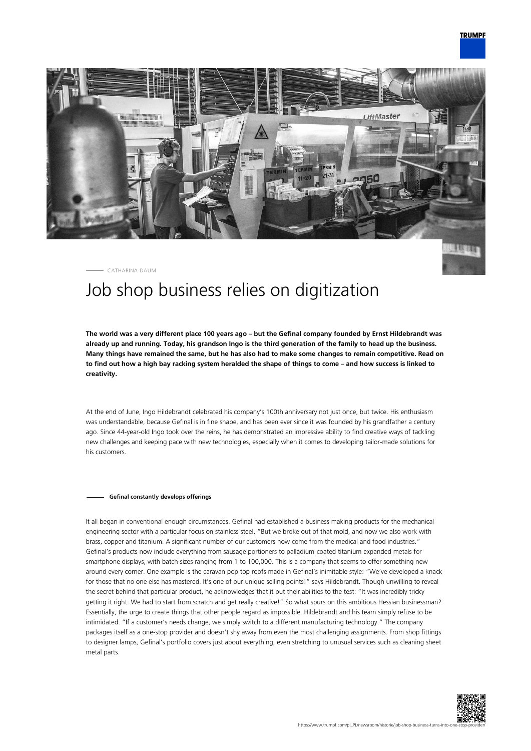

CATHARINA DAUM

## Job shop business relies on digitization

**The world was a very different place 100 years ago – but the Gefinal company founded by Ernst Hildebrandt was already up and running. Today, his grandson Ingo is the third generation of the family to head up the business. Many things have remained the same, but he has also had to make some changes to remain competitive. Read on to find out how a high bay racking system heralded the shape of things to come – and how success is linked to creativity.**

At the end of June, Ingo Hildebrandt celebrated his company's 100th anniversary not just once, but twice. His enthusiasm was understandable, because Gefinal is in fine shape, and has been ever since it was founded by his grandfather a century ago. Since 44-year-old Ingo took over the reins, he has demonstrated an impressive ability to find creative ways of tackling new challenges and keeping pace with new technologies, especially when it comes to developing tailor-made solutions for his customers.

## **Gefinal constantly develops offerings**

It all began in conventional enough circumstances. Gefinal had established a business making products for the mechanical engineering sector with a particular focus on stainless steel. "But we broke out of that mold, and now we also work with brass, copper and titanium. A significant number of our customers now come from the medical and food industries." Gefinal's products now include everything from sausage portioners to palladium-coated titanium expanded metals for smartphone displays, with batch sizes ranging from 1 to 100,000. This is a company that seems to offer something new around every corner. One example is the caravan pop top roofs made in Gefinal's inimitable style: "We've developed a knack for those that no one else has mastered. It's one of our unique selling points!" says Hildebrandt. Though unwilling to reveal the secret behind that particular product, he acknowledges that it put their abilities to the test: "It was incredibly tricky getting it right. We had to start from scratch and get really creative!" So what spurs on this ambitious Hessian businessman? Essentially, the urge to create things that other people regard as impossible. Hildebrandt and his team simply refuse to be intimidated. "If a customer's needs change, we simply switch to a different manufacturing technology." The company packages itself as a one-stop provider and doesn't shy away from even the most challenging assignments. From shop fittings to designer lamps, Gefinal's portfolio covers just about everything, even stretching to unusual services such as cleaning sheet metal parts.

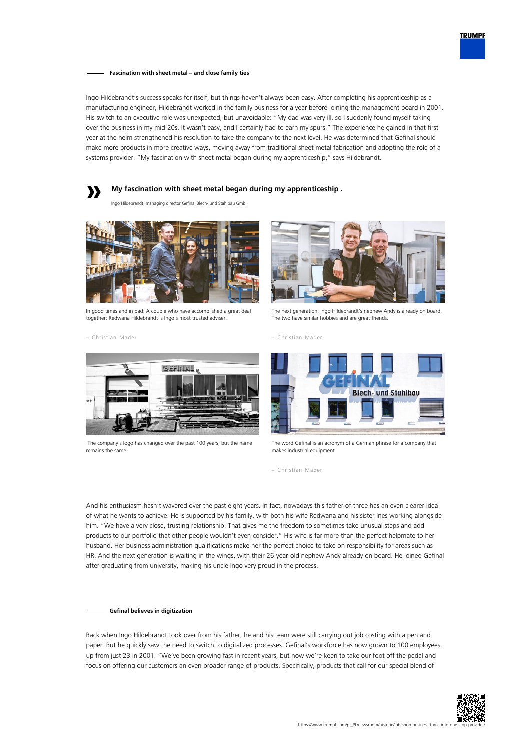

**Fascination with sheet metal – and close family ties**

Ingo Hildebrandt's success speaks for itself, but things haven't always been easy. After completing his apprenticeship as a manufacturing engineer, Hildebrandt worked in the family business for a year before joining the management board in 2001. His switch to an executive role was unexpected, but unavoidable: "My dad was very ill, so I suddenly found myself taking over the business in my mid-20s. It wasn't easy, and I certainly had to earn my spurs." The experience he gained in that first year at the helm strengthened his resolution to take the company to the next level. He was determined that Gefinal should make more products in more creative ways, moving away from traditional sheet metal fabrication and adopting the role of a systems provider. "My fascination with sheet metal began during my apprenticeship," says Hildebrandt.



Ingo Hildebrandt, managing director Gefinal Blech- und Stahlbau GmbH



In good times and in bad: A couple who have accomplished a great deal together: Redwana Hildebrandt is Ingo's most trusted adviser.

– Christian Mader



The next generation: Ingo Hildebrandt's nephew Andy is already on board. The two have similar hobbies and are great friends.





 The company's logo has changed over the past 100 years, but the name remains the same.



The word Gefinal is an acronym of a German phrase for a company that makes industrial equipment.

– Christian Mader

And his enthusiasm hasn't wavered over the past eight years. In fact, nowadays this father of three has an even clearer idea of what he wants to achieve. He is supported by his family, with both his wife Redwana and his sister Ines working alongside him. "We have a very close, trusting relationship. That gives me the freedom to sometimes take unusual steps and add products to our portfolio that other people wouldn't even consider." His wife is far more than the perfect helpmate to her husband. Her business administration qualifications make her the perfect choice to take on responsibility for areas such as HR. And the next generation is waiting in the wings, with their 26-year-old nephew Andy already on board. He joined Gefinal after graduating from university, making his uncle Ingo very proud in the process.

## **Gefinal believes in digitization**

Back when Ingo Hildebrandt took over from his father, he and his team were still carrying out job costing with a pen and paper. But he quickly saw the need to switch to digitalized processes. Gefinal's workforce has now grown to 100 employees, up from just 23 in 2001. "We've been growing fast in recent years, but now we're keen to take our foot off the pedal and focus on offering our customers an even broader range of products. Specifically, products that call for our special blend of

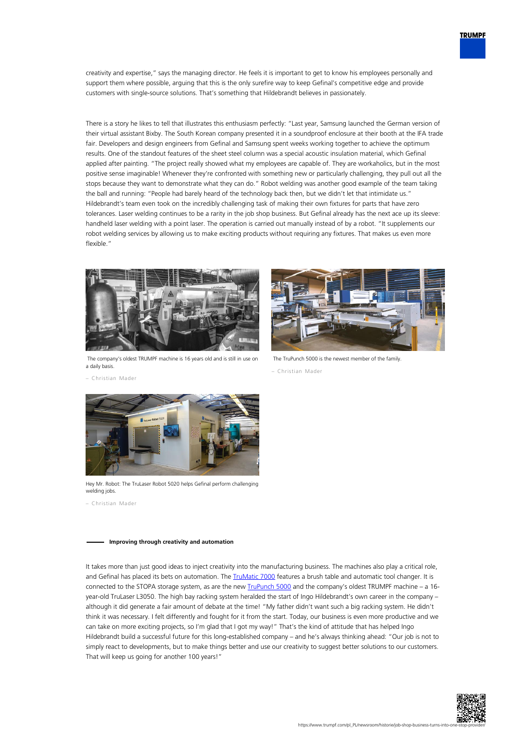

creativity and expertise," says the managing director. He feels it is important to get to know his employees personally and support them where possible, arguing that this is the only surefire way to keep Gefinal's competitive edge and provide customers with single-source solutions. That's something that Hildebrandt believes in passionately.

There is a story he likes to tell that illustrates this enthusiasm perfectly: "Last year, Samsung launched the German version of their virtual assistant Bixby. The South Korean company presented it in a soundproof enclosure at their booth at the IFA trade fair. Developers and design engineers from Gefinal and Samsung spent weeks working together to achieve the optimum results. One of the standout features of the sheet steel column was a special acoustic insulation material, which Gefinal applied after painting. "The project really showed what my employees are capable of. They are workaholics, but in the most positive sense imaginable! Whenever they're confronted with something new or particularly challenging, they pull out all the stops because they want to demonstrate what they can do." Robot welding was another good example of the team taking the ball and running: "People had barely heard of the technology back then, but we didn't let that intimidate us." Hildebrandt's team even took on the incredibly challenging task of making their own fixtures for parts that have zero tolerances. Laser welding continues to be a rarity in the job shop business. But Gefinal already has the next ace up its sleeve: handheld laser welding with a point laser. The operation is carried out manually instead of by a robot. "It supplements our robot welding services by allowing us to make exciting products without requiring any fixtures. That makes us even more flexible."



 The company's oldest TRUMPF machine is 16 years old and is still in use on a daily basis.



The TruPunch 5000 is the newest member of the family.

– Christian Mader

– Christian Mader



Hey Mr. Robot: The TruLaser Robot 5020 helps Gefinal perform challenging welding jobs.

– Christian Mader

## **Improving through creativity and automation**

It takes more than just good ideas to inject creativity into the manufacturing business. The machines also play a critical role, and Gefinal has placed its bets on automation. The *TruMatic 7000* features a brush table and automatic tool changer. It is connected to the STOPA storage system, as are the new **[TruPunch 5000](https://www.trumpf.com/pl_PL/produkty/maszyny-systemy/wykrawarki/trupunch-5000/)** and the company's oldest TRUMPF machine – a 16year-old TruLaser L3050. The high bay racking system heralded the start of Ingo Hildebrandt's own career in the company – although it did generate a fair amount of debate at the time! "My father didn't want such a big racking system. He didn't think it was necessary. I felt differently and fought for it from the start. Today, our business is even more productive and we can take on more exciting projects, so I'm glad that I got my way!" That's the kind of attitude that has helped Ingo Hildebrandt build a successful future for this long-established company – and he's always thinking ahead: "Our job is not to simply react to developments, but to make things better and use our creativity to suggest better solutions to our customers. That will keep us going for another 100 years!"